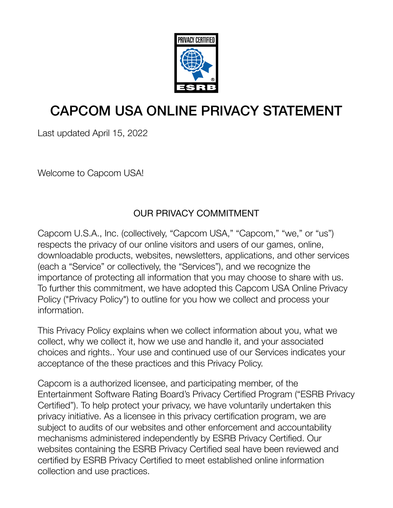

### CAPCOM USA ONLINE PRIVACY STATEMENT

Last updated April 15, 2022

Welcome to Capcom USA!

#### OUR PRIVACY COMMITMENT

Capcom U.S.A., Inc. (collectively, "Capcom USA," "Capcom," "we," or "us") respects the privacy of our online visitors and users of our games, online, downloadable products, websites, newsletters, applications, and other services (each a "Service" or collectively, the "Services"), and we recognize the importance of protecting all information that you may choose to share with us. To further this commitment, we have adopted this Capcom USA Online Privacy Policy ("Privacy Policy") to outline for you how we collect and process your information.

This Privacy Policy explains when we collect information about you, what we collect, why we collect it, how we use and handle it, and your associated choices and rights.. Your use and continued use of our Services indicates your acceptance of the these practices and this Privacy Policy.

Capcom is a authorized licensee, and participating member, of the Entertainment Software Rating Board's Privacy Certified Program ("ESRB Privacy Certified"). To help protect your privacy, we have voluntarily undertaken this privacy initiative. As a licensee in this privacy certification program, we are subject to audits of our websites and other enforcement and accountability mechanisms administered independently by ESRB Privacy Certified. Our websites containing the ESRB Privacy Certified seal have been reviewed and certified by ESRB Privacy Certified to meet established online information collection and use practices.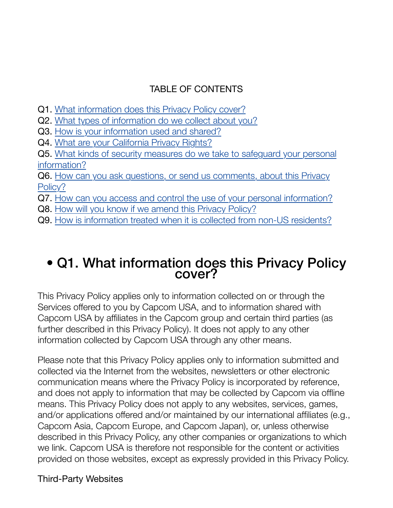#### TABLE OF CONTENTS

- Q1. [What information does this Privacy Policy cover?](https://www.capcomusa.com/privacy/#websites_information)
- Q2. [What types of information do we collect about you?](https://www.capcomusa.com/privacy/#what_type_into)
- Q3. [How is your information used and shared?](https://www.capcomusa.com/privacy/#how_used)
- Q4. [What are your California Privacy Rights?](https://www.capcomusa.com/privacy/#california)
- Q5. [What kinds of security measures do we take to safeguard your personal](https://www.capcomusa.com/privacy/#security_measures) [information?](https://www.capcomusa.com/privacy/#security_measures)
- Q6. [How can you ask questions, or send us comments, about this Privacy](https://www.capcomusa.com/privacy/#ask_questions) [Policy?](https://www.capcomusa.com/privacy/#ask_questions)
- Q7. [How can you access and control the use of your personal information?](https://www.capcomusa.com/privacy/#access_control)
- Q8. [How will you know if we amend this Privacy Policy?](https://www.capcomusa.com/privacy/#amend_policy)
- Q9. [How is information treated when it is collected from non-US residents?](https://www.capcomusa.com/privacy/#non-US_info)

## • Q1. What information does this Privacy Policy cover?

This Privacy Policy applies only to information collected on or through the Services offered to you by Capcom USA, and to information shared with Capcom USA by affiliates in the Capcom group and certain third parties (as further described in this Privacy Policy). It does not apply to any other information collected by Capcom USA through any other means.

Please note that this Privacy Policy applies only to information submitted and collected via the Internet from the websites, newsletters or other electronic communication means where the Privacy Policy is incorporated by reference, and does not apply to information that may be collected by Capcom via offline means. This Privacy Policy does not apply to any websites, services, games, and/or applications offered and/or maintained by our international affiliates (e.g., Capcom Asia, Capcom Europe, and Capcom Japan), or, unless otherwise described in this Privacy Policy, any other companies or organizations to which we link. Capcom USA is therefore not responsible for the content or activities provided on those websites, except as expressly provided in this Privacy Policy.

#### Third-Party Websites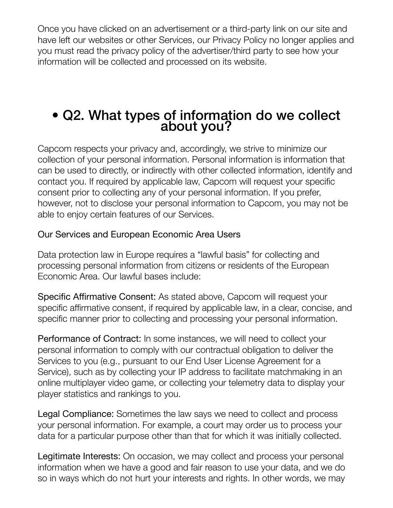Once you have clicked on an advertisement or a third-party link on our site and have left our websites or other Services, our Privacy Policy no longer applies and you must read the privacy policy of the advertiser/third party to see how your information will be collected and processed on its website.

## • Q2. What types of information do we collect about you?

Capcom respects your privacy and, accordingly, we strive to minimize our collection of your personal information. Personal information is information that can be used to directly, or indirectly with other collected information, identify and contact you. If required by applicable law, Capcom will request your specific consent prior to collecting any of your personal information. If you prefer, however, not to disclose your personal information to Capcom, you may not be able to enjoy certain features of our Services.

#### Our Services and European Economic Area Users

Data protection law in Europe requires a "lawful basis" for collecting and processing personal information from citizens or residents of the European Economic Area. Our lawful bases include:

Specific Affirmative Consent: As stated above, Capcom will request your specific affirmative consent, if required by applicable law, in a clear, concise, and specific manner prior to collecting and processing your personal information.

Performance of Contract: In some instances, we will need to collect your personal information to comply with our contractual obligation to deliver the Services to you (e.g., pursuant to our End User License Agreement for a Service), such as by collecting your IP address to facilitate matchmaking in an online multiplayer video game, or collecting your telemetry data to display your player statistics and rankings to you.

Legal Compliance: Sometimes the law says we need to collect and process your personal information. For example, a court may order us to process your data for a particular purpose other than that for which it was initially collected.

Legitimate Interests: On occasion, we may collect and process your personal information when we have a good and fair reason to use your data, and we do so in ways which do not hurt your interests and rights. In other words, we may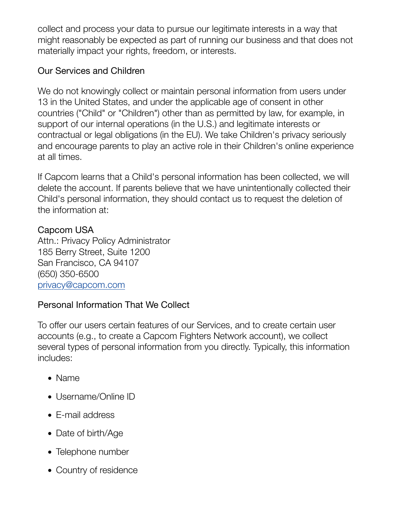collect and process your data to pursue our legitimate interests in a way that might reasonably be expected as part of running our business and that does not materially impact your rights, freedom, or interests.

#### Our Services and Children

We do not knowingly collect or maintain personal information from users under 13 in the United States, and under the applicable age of consent in other countries ("Child" or "Children") other than as permitted by law, for example, in support of our internal operations (in the U.S.) and legitimate interests or contractual or legal obligations (in the EU). We take Children's privacy seriously and encourage parents to play an active role in their Children's online experience at all times.

If Capcom learns that a Child's personal information has been collected, we will delete the account. If parents believe that we have unintentionally collected their Child's personal information, they should contact us to request the deletion of the information at:

#### Capcom USA

Attn.: Privacy Policy Administrator 185 Berry Street, Suite 1200 San Francisco, CA 94107 (650) 350-6500 [privacy@capcom.com](mailto:privacy@capcom.com)

#### Personal Information That We Collect

To offer our users certain features of our Services, and to create certain user accounts (e.g., to create a Capcom Fighters Network account), we collect several types of personal information from you directly. Typically, this information includes:

- Name
- Username/Online ID
- E-mail address
- Date of birth/Age
- Telephone number
- Country of residence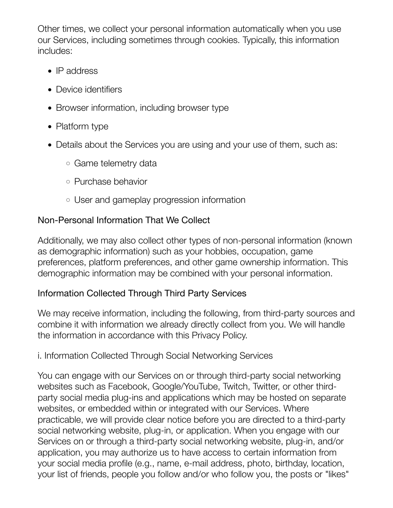Other times, we collect your personal information automatically when you use our Services, including sometimes through cookies. Typically, this information includes:

- IP address
- Device identifiers
- Browser information, including browser type
- Platform type
- Details about the Services you are using and your use of them, such as:
	- Game telemetry data
	- Purchase behavior
	- User and gameplay progression information

#### Non-Personal Information That We Collect

Additionally, we may also collect other types of non-personal information (known as demographic information) such as your hobbies, occupation, game preferences, platform preferences, and other game ownership information. This demographic information may be combined with your personal information.

#### Information Collected Through Third Party Services

We may receive information, including the following, from third-party sources and combine it with information we already directly collect from you. We will handle the information in accordance with this Privacy Policy.

#### i. Information Collected Through Social Networking Services

You can engage with our Services on or through third-party social networking websites such as Facebook, Google/YouTube, Twitch, Twitter, or other thirdparty social media plug-ins and applications which may be hosted on separate websites, or embedded within or integrated with our Services. Where practicable, we will provide clear notice before you are directed to a third-party social networking website, plug-in, or application. When you engage with our Services on or through a third-party social networking website, plug-in, and/or application, you may authorize us to have access to certain information from your social media profile (e.g., name, e-mail address, photo, birthday, location, your list of friends, people you follow and/or who follow you, the posts or "likes"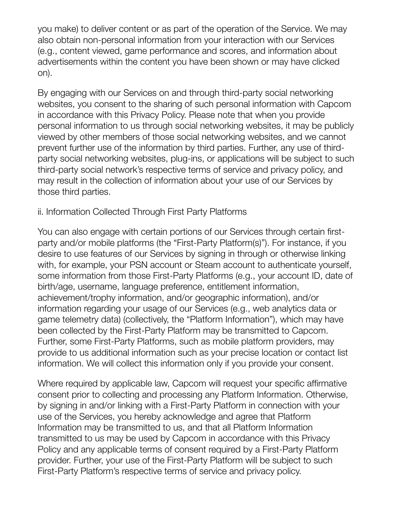you make) to deliver content or as part of the operation of the Service. We may also obtain non-personal information from your interaction with our Services (e.g., content viewed, game performance and scores, and information about advertisements within the content you have been shown or may have clicked on).

By engaging with our Services on and through third-party social networking websites, you consent to the sharing of such personal information with Capcom in accordance with this Privacy Policy. Please note that when you provide personal information to us through social networking websites, it may be publicly viewed by other members of those social networking websites, and we cannot prevent further use of the information by third parties. Further, any use of thirdparty social networking websites, plug-ins, or applications will be subject to such third-party social network's respective terms of service and privacy policy, and may result in the collection of information about your use of our Services by those third parties.

#### ii. Information Collected Through First Party Platforms

You can also engage with certain portions of our Services through certain firstparty and/or mobile platforms (the "First-Party Platform(s)"). For instance, if you desire to use features of our Services by signing in through or otherwise linking with, for example, your PSN account or Steam account to authenticate yourself, some information from those First-Party Platforms (e.g., your account ID, date of birth/age, username, language preference, entitlement information, achievement/trophy information, and/or geographic information), and/or information regarding your usage of our Services (e.g., web analytics data or game telemetry data) (collectively, the "Platform Information"), which may have been collected by the First-Party Platform may be transmitted to Capcom. Further, some First-Party Platforms, such as mobile platform providers, may provide to us additional information such as your precise location or contact list information. We will collect this information only if you provide your consent.

Where required by applicable law, Capcom will request your specific affirmative consent prior to collecting and processing any Platform Information. Otherwise, by signing in and/or linking with a First-Party Platform in connection with your use of the Services, you hereby acknowledge and agree that Platform Information may be transmitted to us, and that all Platform Information transmitted to us may be used by Capcom in accordance with this Privacy Policy and any applicable terms of consent required by a First-Party Platform provider. Further, your use of the First-Party Platform will be subject to such First-Party Platform's respective terms of service and privacy policy.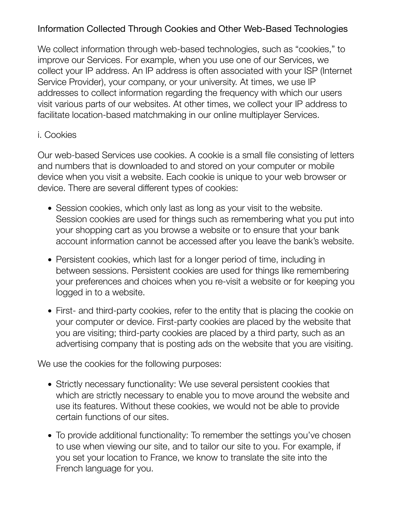#### Information Collected Through Cookies and Other Web-Based Technologies

We collect information through web-based technologies, such as "cookies," to improve our Services. For example, when you use one of our Services, we collect your IP address. An IP address is often associated with your ISP (Internet Service Provider), your company, or your university. At times, we use IP addresses to collect information regarding the frequency with which our users visit various parts of our websites. At other times, we collect your IP address to facilitate location-based matchmaking in our online multiplayer Services.

#### i. Cookies

Our web-based Services use cookies. A cookie is a small file consisting of letters and numbers that is downloaded to and stored on your computer or mobile device when you visit a website. Each cookie is unique to your web browser or device. There are several different types of cookies:

- Session cookies, which only last as long as your visit to the website. Session cookies are used for things such as remembering what you put into your shopping cart as you browse a website or to ensure that your bank account information cannot be accessed after you leave the bank's website.
- Persistent cookies, which last for a longer period of time, including in between sessions. Persistent cookies are used for things like remembering your preferences and choices when you re-visit a website or for keeping you logged in to a website.
- First- and third-party cookies, refer to the entity that is placing the cookie on your computer or device. First-party cookies are placed by the website that you are visiting; third-party cookies are placed by a third party, such as an advertising company that is posting ads on the website that you are visiting.

We use the cookies for the following purposes:

- Strictly necessary functionality: We use several persistent cookies that which are strictly necessary to enable you to move around the website and use its features. Without these cookies, we would not be able to provide certain functions of our sites.
- To provide additional functionality: To remember the settings you've chosen to use when viewing our site, and to tailor our site to you. For example, if you set your location to France, we know to translate the site into the French language for you.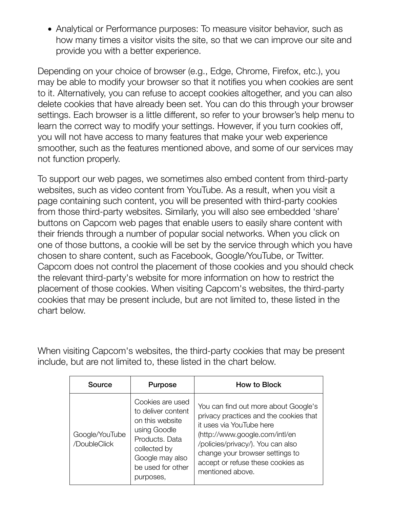• Analytical or Performance purposes: To measure visitor behavior, such as how many times a visitor visits the site, so that we can improve our site and provide you with a better experience.

Depending on your choice of browser (e.g., Edge, Chrome, Firefox, etc.), you may be able to modify your browser so that it notifies you when cookies are sent to it. Alternatively, you can refuse to accept cookies altogether, and you can also delete cookies that have already been set. You can do this through your browser settings. Each browser is a little different, so refer to your browser's help menu to learn the correct way to modify your settings. However, if you turn cookies off, you will not have access to many features that make your web experience smoother, such as the features mentioned above, and some of our services may not function properly.

To support our web pages, we sometimes also embed content from third-party websites, such as video content from YouTube. As a result, when you visit a page containing such content, you will be presented with third-party cookies from those third-party websites. Similarly, you will also see embedded 'share' buttons on Capcom web pages that enable users to easily share content with their friends through a number of popular social networks. When you click on one of those buttons, a cookie will be set by the service through which you have chosen to share content, such as Facebook, Google/YouTube, or Twitter. Capcom does not control the placement of those cookies and you should check the relevant third-party's website for more information on how to restrict the placement of those cookies. When visiting Capcom's websites, the third-party cookies that may be present include, but are not limited to, these listed in the chart below.

When visiting Capcom's websites, the third-party cookies that may be present include, but are not limited to, these listed in the chart below.

| Source                         | <b>Purpose</b>                                                                                                                                                   | How to Block                                                                                                                                                                                                                                                                  |
|--------------------------------|------------------------------------------------------------------------------------------------------------------------------------------------------------------|-------------------------------------------------------------------------------------------------------------------------------------------------------------------------------------------------------------------------------------------------------------------------------|
| Google/YouTube<br>/DoubleClick | Cookies are used<br>to deliver content<br>on this website<br>using Goodle<br>Products, Data<br>collected by<br>Google may also<br>be used for other<br>purposes. | You can find out more about Google's<br>privacy practices and the cookies that<br>it uses via YouTube here<br>(http://www.google.com/intl/en<br>/policies/privacy/). You can also<br>change your browser settings to<br>accept or refuse these cookies as<br>mentioned above. |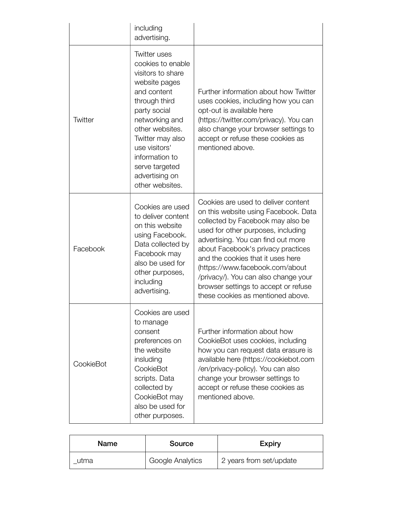|                | including<br>advertising.                                                                                                                                                                                                                                                         |                                                                                                                                                                                                                                                                                                                                                                                                                                 |
|----------------|-----------------------------------------------------------------------------------------------------------------------------------------------------------------------------------------------------------------------------------------------------------------------------------|---------------------------------------------------------------------------------------------------------------------------------------------------------------------------------------------------------------------------------------------------------------------------------------------------------------------------------------------------------------------------------------------------------------------------------|
| <b>Twitter</b> | <b>Twitter uses</b><br>cookies to enable<br>visitors to share<br>website pages<br>and content<br>through third<br>party social<br>networking and<br>other websites.<br>Twitter may also<br>use visitors'<br>information to<br>serve targeted<br>advertising on<br>other websites. | Further information about how Twitter<br>uses cookies, including how you can<br>opt-out is available here<br>(https://twitter.com/privacy). You can<br>also change your browser settings to<br>accept or refuse these cookies as<br>mentioned above.                                                                                                                                                                            |
| Facebook       | Cookies are used<br>to deliver content<br>on this website<br>using Facebook.<br>Data collected by<br>Facebook may<br>also be used for<br>other purposes,<br>including<br>advertising.                                                                                             | Cookies are used to deliver content<br>on this website using Facebook. Data<br>collected by Facebook may also be<br>used for other purposes, including<br>advertising. You can find out more<br>about Facebook's privacy practices<br>and the cookies that it uses here<br>(https://www.facebook.com/about<br>/privacy/). You can also change your<br>browser settings to accept or refuse<br>these cookies as mentioned above. |
| CookieBot      | Cookies are used<br>to manage<br>consent<br>preferences on<br>the website<br>insluding<br>CookieBot<br>scripts. Data<br>collected by<br>CookieBot may<br>also be used for<br>other purposes.                                                                                      | Further information about how<br>CookieBot uses cookies, including<br>how you can request data erasure is<br>available here (https://cookiebot.com<br>/en/privacy-policy). You can also<br>change your browser settings to<br>accept or refuse these cookies as<br>mentioned above.                                                                                                                                             |

| Name | Source           | <b>Expiry</b>           |
|------|------------------|-------------------------|
| utma | Google Analytics | 2 years from set/update |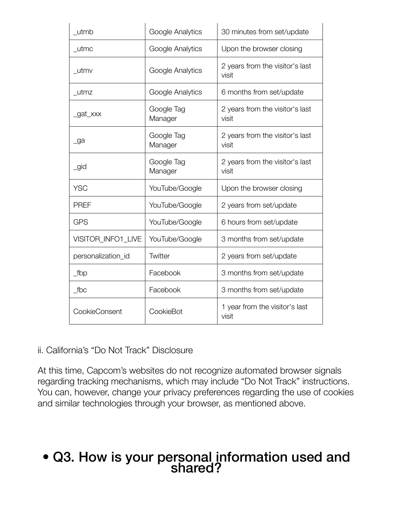| utmb               | Google Analytics      | 30 minutes from set/update               |
|--------------------|-----------------------|------------------------------------------|
| _utmc              | Google Analytics      | Upon the browser closing                 |
| _utmv              | Google Analytics      | 2 years from the visitor's last<br>visit |
| _utmz              | Google Analytics      | 6 months from set/update                 |
| _gat_xxx           | Google Tag<br>Manager | 2 years from the visitor's last<br>visit |
| _ga                | Google Tag<br>Manager | 2 years from the visitor's last<br>visit |
| _gid               | Google Tag<br>Manager | 2 years from the visitor's last<br>visit |
| <b>YSC</b>         | YouTube/Google        | Upon the browser closing                 |
| <b>PREF</b>        | YouTube/Google        | 2 years from set/update                  |
| <b>GPS</b>         | YouTube/Google        | 6 hours from set/update                  |
| VISITOR_INFO1_LIVE | YouTube/Google        | 3 months from set/update                 |
| personalization_id | Twitter               | 2 years from set/update                  |
| $_t$ fbp           | Facebook              | 3 months from set/update                 |
| $\_$ fbc           | Facebook              | 3 months from set/update                 |
| CookieConsent      | CookieBot             | 1 year from the visitor's last<br>visit  |

#### ii. California's "Do Not Track" Disclosure

At this time, Capcom's websites do not recognize automated browser signals regarding tracking mechanisms, which may include "Do Not Track" instructions. You can, however, change your privacy preferences regarding the use of cookies and similar technologies through your browser, as mentioned above.

### • Q3. How is your personal information used and shared?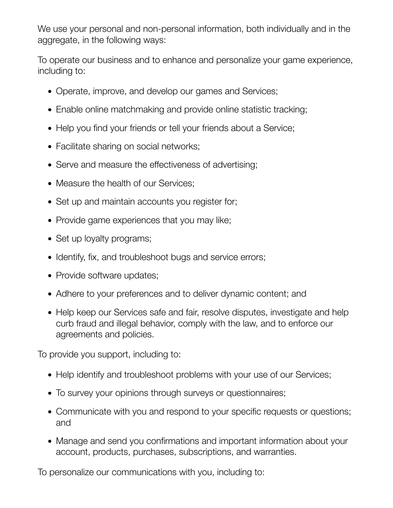We use your personal and non-personal information, both individually and in the aggregate, in the following ways:

To operate our business and to enhance and personalize your game experience, including to:

- Operate, improve, and develop our games and Services;
- Enable online matchmaking and provide online statistic tracking;
- Help you find your friends or tell your friends about a Service;
- Facilitate sharing on social networks;
- Serve and measure the effectiveness of advertising;
- Measure the health of our Services;
- Set up and maintain accounts you register for;
- Provide game experiences that you may like;
- Set up loyalty programs;
- Identify, fix, and troubleshoot bugs and service errors;
- Provide software updates;
- Adhere to your preferences and to deliver dynamic content; and
- Help keep our Services safe and fair, resolve disputes, investigate and help curb fraud and illegal behavior, comply with the law, and to enforce our agreements and policies.

To provide you support, including to:

- Help identify and troubleshoot problems with your use of our Services;
- To survey your opinions through surveys or questionnaires;
- Communicate with you and respond to your specific requests or questions; and
- Manage and send you confirmations and important information about your account, products, purchases, subscriptions, and warranties.

To personalize our communications with you, including to: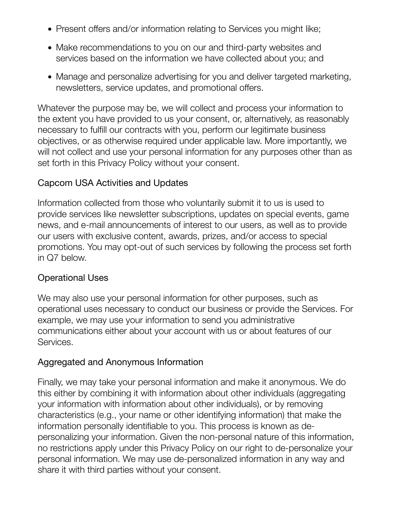- Present offers and/or information relating to Services you might like;
- Make recommendations to you on our and third-party websites and services based on the information we have collected about you; and
- Manage and personalize advertising for you and deliver targeted marketing, newsletters, service updates, and promotional offers.

Whatever the purpose may be, we will collect and process your information to the extent you have provided to us your consent, or, alternatively, as reasonably necessary to fulfill our contracts with you, perform our legitimate business objectives, or as otherwise required under applicable law. More importantly, we will not collect and use your personal information for any purposes other than as set forth in this Privacy Policy without your consent.

#### Capcom USA Activities and Updates

Information collected from those who voluntarily submit it to us is used to provide services like newsletter subscriptions, updates on special events, game news, and e-mail announcements of interest to our users, as well as to provide our users with exclusive content, awards, prizes, and/or access to special promotions. You may opt-out of such services by following the process set forth in Q7 below.

#### Operational Uses

We may also use your personal information for other purposes, such as operational uses necessary to conduct our business or provide the Services. For example, we may use your information to send you administrative communications either about your account with us or about features of our Services.

#### Aggregated and Anonymous Information

Finally, we may take your personal information and make it anonymous. We do this either by combining it with information about other individuals (aggregating your information with information about other individuals), or by removing characteristics (e.g., your name or other identifying information) that make the information personally identifiable to you. This process is known as depersonalizing your information. Given the non-personal nature of this information, no restrictions apply under this Privacy Policy on our right to de-personalize your personal information. We may use de-personalized information in any way and share it with third parties without your consent.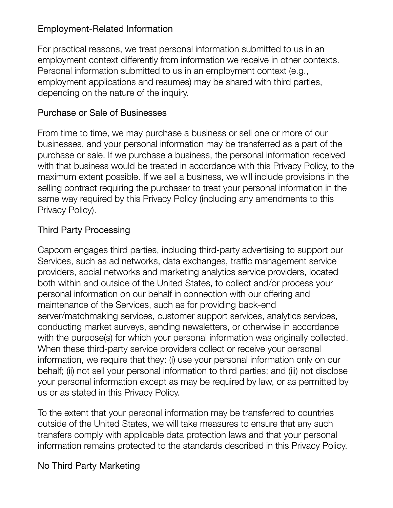#### Employment-Related Information

For practical reasons, we treat personal information submitted to us in an employment context differently from information we receive in other contexts. Personal information submitted to us in an employment context (e.g., employment applications and resumes) may be shared with third parties, depending on the nature of the inquiry.

#### Purchase or Sale of Businesses

From time to time, we may purchase a business or sell one or more of our businesses, and your personal information may be transferred as a part of the purchase or sale. If we purchase a business, the personal information received with that business would be treated in accordance with this Privacy Policy, to the maximum extent possible. If we sell a business, we will include provisions in the selling contract requiring the purchaser to treat your personal information in the same way required by this Privacy Policy (including any amendments to this Privacy Policy).

#### Third Party Processing

Capcom engages third parties, including third-party advertising to support our Services, such as ad networks, data exchanges, traffic management service providers, social networks and marketing analytics service providers, located both within and outside of the United States, to collect and/or process your personal information on our behalf in connection with our offering and maintenance of the Services, such as for providing back-end server/matchmaking services, customer support services, analytics services, conducting market surveys, sending newsletters, or otherwise in accordance with the purpose(s) for which your personal information was originally collected. When these third-party service providers collect or receive your personal information, we require that they: (i) use your personal information only on our behalf; (ii) not sell your personal information to third parties; and (iii) not disclose your personal information except as may be required by law, or as permitted by us or as stated in this Privacy Policy.

To the extent that your personal information may be transferred to countries outside of the United States, we will take measures to ensure that any such transfers comply with applicable data protection laws and that your personal information remains protected to the standards described in this Privacy Policy.

#### No Third Party Marketing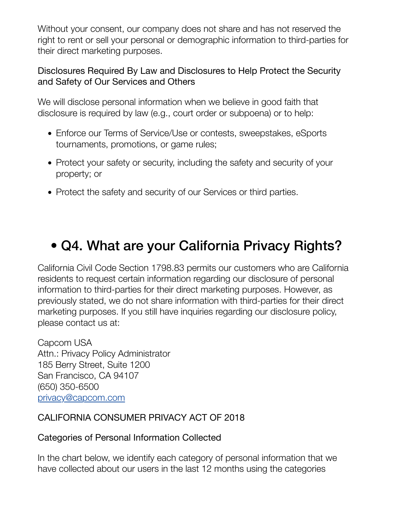Without your consent, our company does not share and has not reserved the right to rent or sell your personal or demographic information to third-parties for their direct marketing purposes.

#### Disclosures Required By Law and Disclosures to Help Protect the Security and Safety of Our Services and Others

We will disclose personal information when we believe in good faith that disclosure is required by law (e.g., court order or subpoena) or to help:

- Enforce our Terms of Service/Use or contests, sweepstakes, eSports tournaments, promotions, or game rules;
- Protect your safety or security, including the safety and security of your property; or
- Protect the safety and security of our Services or third parties.

### • Q4. What are your California Privacy Rights?

California Civil Code Section 1798.83 permits our customers who are California residents to request certain information regarding our disclosure of personal information to third-parties for their direct marketing purposes. However, as previously stated, we do not share information with third-parties for their direct marketing purposes. If you still have inquiries regarding our disclosure policy, please contact us at:

Capcom USA Attn.: Privacy Policy Administrator 185 Berry Street, Suite 1200 San Francisco, CA 94107 (650) 350-6500 [privacy@capcom.com](mailto:privacy@capcom.com)

#### CALIFORNIA CONSUMER PRIVACY ACT OF 2018

#### Categories of Personal Information Collected

In the chart below, we identify each category of personal information that we have collected about our users in the last 12 months using the categories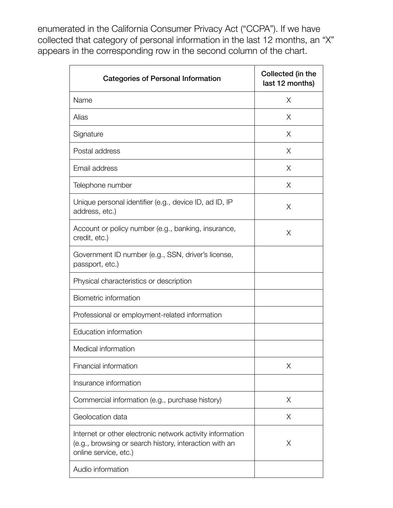enumerated in the California Consumer Privacy Act ("CCPA"). If we have collected that category of personal information in the last 12 months, an "X" appears in the corresponding row in the second column of the chart.

| <b>Categories of Personal Information</b>                                                                                                    | Collected (in the<br>last 12 months) |
|----------------------------------------------------------------------------------------------------------------------------------------------|--------------------------------------|
| Name                                                                                                                                         | X                                    |
| Alias                                                                                                                                        | X                                    |
| Signature                                                                                                                                    | X                                    |
| Postal address                                                                                                                               | X                                    |
| Email address                                                                                                                                | X                                    |
| Telephone number                                                                                                                             | X                                    |
| Unique personal identifier (e.g., device ID, ad ID, IP<br>address, etc.)                                                                     | X                                    |
| Account or policy number (e.g., banking, insurance,<br>credit, etc.)                                                                         | X                                    |
| Government ID number (e.g., SSN, driver's license,<br>passport, etc.)                                                                        |                                      |
| Physical characteristics or description                                                                                                      |                                      |
| Biometric information                                                                                                                        |                                      |
| Professional or employment-related information                                                                                               |                                      |
| Education information                                                                                                                        |                                      |
| Medical information                                                                                                                          |                                      |
| Financial information                                                                                                                        | Χ                                    |
| Insurance information                                                                                                                        |                                      |
| Commercial information (e.g., purchase history)                                                                                              | X                                    |
| Geolocation data                                                                                                                             | X                                    |
| Internet or other electronic network activity information<br>(e.g., browsing or search history, interaction with an<br>online service, etc.) | Χ                                    |
| Audio information                                                                                                                            |                                      |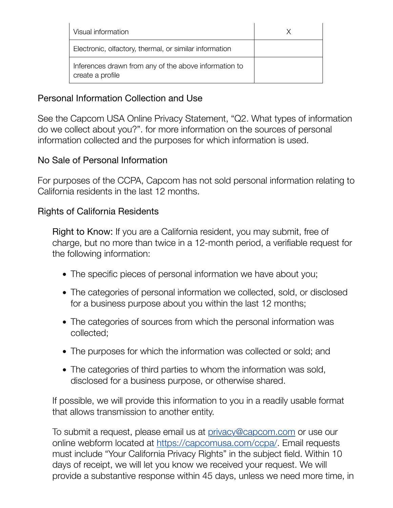| Visual information                                                        |  |
|---------------------------------------------------------------------------|--|
| Electronic, olfactory, thermal, or similar information                    |  |
| Inferences drawn from any of the above information to<br>create a profile |  |

#### Personal Information Collection and Use

See the Capcom USA Online Privacy Statement, "Q2. What types of information do we collect about you?". for more information on the sources of personal information collected and the purposes for which information is used.

#### No Sale of Personal Information

For purposes of the CCPA, Capcom has not sold personal information relating to California residents in the last 12 months.

#### Rights of California Residents

Right to Know: If you are a California resident, you may submit, free of charge, but no more than twice in a 12-month period, a verifiable request for the following information:

- The specific pieces of personal information we have about you;
- The categories of personal information we collected, sold, or disclosed for a business purpose about you within the last 12 months;
- The categories of sources from which the personal information was collected;
- The purposes for which the information was collected or sold; and
- The categories of third parties to whom the information was sold, disclosed for a business purpose, or otherwise shared.

If possible, we will provide this information to you in a readily usable format that allows transmission to another entity.

To submit a request, please email us at [privacy@capcom.com](mailto:privacy@capcom.com) or use our online webform located at [https://capcomusa.com/ccpa/.](https://capcomusa.com/ccpa/) Email requests must include "Your California Privacy Rights" in the subject field. Within 10 days of receipt, we will let you know we received your request. We will provide a substantive response within 45 days, unless we need more time, in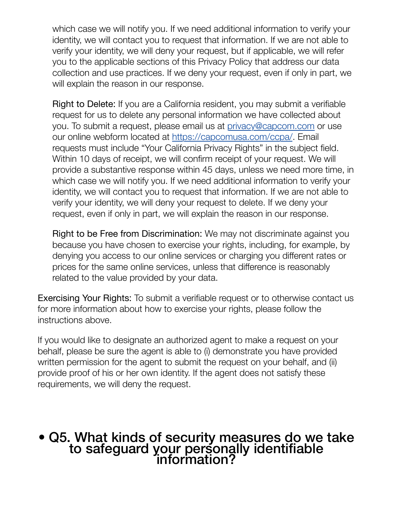which case we will notify you. If we need additional information to verify your identity, we will contact you to request that information. If we are not able to verify your identity, we will deny your request, but if applicable, we will refer you to the applicable sections of this Privacy Policy that address our data collection and use practices. If we deny your request, even if only in part, we will explain the reason in our response.

Right to Delete: If you are a California resident, you may submit a verifiable request for us to delete any personal information we have collected about you. To submit a request, please email us at [privacy@capcom.com](mailto://privacy@capcom.com) or use our online webform located at [https://capcomusa.com/ccpa/.](https://capcomusa.com/ccpa/) Email requests must include "Your California Privacy Rights" in the subject field. Within 10 days of receipt, we will confirm receipt of your request. We will provide a substantive response within 45 days, unless we need more time, in which case we will notify you. If we need additional information to verify your identity, we will contact you to request that information. If we are not able to verify your identity, we will deny your request to delete. If we deny your request, even if only in part, we will explain the reason in our response.

Right to be Free from Discrimination: We may not discriminate against you because you have chosen to exercise your rights, including, for example, by denying you access to our online services or charging you different rates or prices for the same online services, unless that difference is reasonably related to the value provided by your data.

Exercising Your Rights: To submit a verifiable request or to otherwise contact us for more information about how to exercise your rights, please follow the instructions above.

If you would like to designate an authorized agent to make a request on your behalf, please be sure the agent is able to (i) demonstrate you have provided written permission for the agent to submit the request on your behalf, and (ii) provide proof of his or her own identity. If the agent does not satisfy these requirements, we will deny the request.

# • Q5. What kinds of security measures do we take to safeguard your personally identifiable information?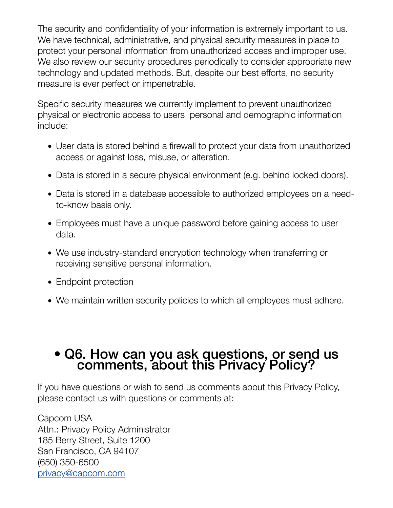The security and confidentiality of your information is extremely important to us. We have technical, administrative, and physical security measures in place to protect your personal information from unauthorized access and improper use. We also review our security procedures periodically to consider appropriate new technology and updated methods. But, despite our best efforts, no security measure is ever perfect or impenetrable.

Specific security measures we currently implement to prevent unauthorized physical or electronic access to users' personal and demographic information include:

- User data is stored behind a firewall to protect your data from unauthorized access or against loss, misuse, or alteration.
- Data is stored in a secure physical environment (e.g. behind locked doors).
- Data is stored in a database accessible to authorized employees on a needto-know basis only.
- Employees must have a unique password before gaining access to user data.
- We use industry-standard encryption technology when transferring or receiving sensitive personal information.
- Endpoint protection
- We maintain written security policies to which all employees must adhere.

# • Q6. How can you ask questions, or send us comments, about this Privacy Policy?

If you have questions or wish to send us comments about this Privacy Policy, please contact us with questions or comments at:

Capcom USA Attn.: Privacy Policy Administrator 185 Berry Street, Suite 1200 San Francisco, CA 94107 (650) 350-6500 [privacy@capcom.com](mailto:privacy@capcom.com)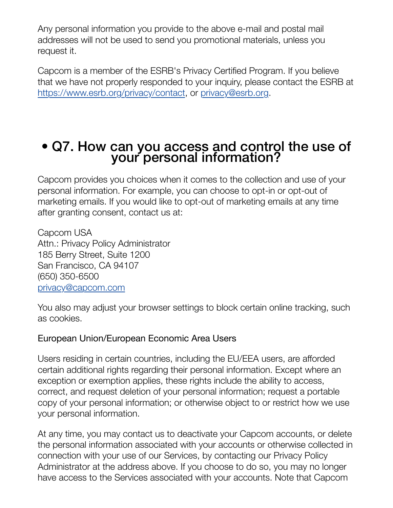Any personal information you provide to the above e-mail and postal mail addresses will not be used to send you promotional materials, unless you request it.

Capcom is a member of the ESRB's Privacy Certified Program. If you believe that we have not properly responded to your inquiry, please contact the ESRB at <https://www.esrb.org/privacy/contact>, or [privacy@esrb.org.](mailto:privacy@esrb.org)

# • Q7. How can you access and control the use of your personal information?

Capcom provides you choices when it comes to the collection and use of your personal information. For example, you can choose to opt-in or opt-out of marketing emails. If you would like to opt-out of marketing emails at any time after granting consent, contact us at:

Capcom USA Attn.: Privacy Policy Administrator 185 Berry Street, Suite 1200 San Francisco, CA 94107 (650) 350-6500 [privacy@capcom.com](mailto:privacy@capcom.com)

You also may adjust your browser settings to block certain online tracking, such as cookies.

#### European Union/European Economic Area Users

Users residing in certain countries, including the EU/EEA users, are afforded certain additional rights regarding their personal information. Except where an exception or exemption applies, these rights include the ability to access, correct, and request deletion of your personal information; request a portable copy of your personal information; or otherwise object to or restrict how we use your personal information.

At any time, you may contact us to deactivate your Capcom accounts, or delete the personal information associated with your accounts or otherwise collected in connection with your use of our Services, by contacting our Privacy Policy Administrator at the address above. If you choose to do so, you may no longer have access to the Services associated with your accounts. Note that Capcom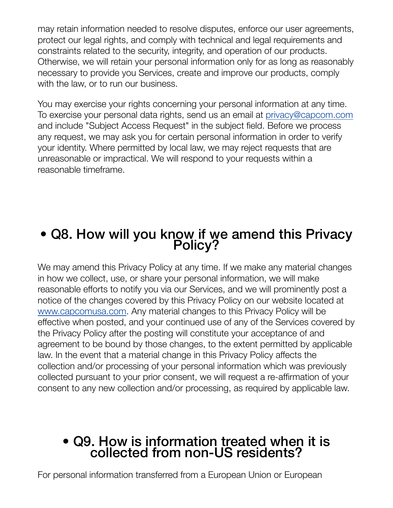may retain information needed to resolve disputes, enforce our user agreements, protect our legal rights, and comply with technical and legal requirements and constraints related to the security, integrity, and operation of our products. Otherwise, we will retain your personal information only for as long as reasonably necessary to provide you Services, create and improve our products, comply with the law, or to run our business.

You may exercise your rights concerning your personal information at any time. To exercise your personal data rights, send us an email at [privacy@capcom.com](mailto:privacy@capcom.com) and include "Subject Access Request" in the subject field. Before we process any request, we may ask you for certain personal information in order to verify your identity. Where permitted by local law, we may reject requests that are unreasonable or impractical. We will respond to your requests within a reasonable timeframe.

### • Q8. How will you know if we amend this Privacy Policy?

We may amend this Privacy Policy at any time. If we make any material changes in how we collect, use, or share your personal information, we will make reasonable efforts to notify you via our Services, and we will prominently post a notice of the changes covered by this Privacy Policy on our website located at [www.capcomusa.com.](https://www.capcomusa.com/) Any material changes to this Privacy Policy will be effective when posted, and your continued use of any of the Services covered by the Privacy Policy after the posting will constitute your acceptance of and agreement to be bound by those changes, to the extent permitted by applicable law. In the event that a material change in this Privacy Policy affects the collection and/or processing of your personal information which was previously collected pursuant to your prior consent, we will request a re-affirmation of your consent to any new collection and/or processing, as required by applicable law.

### • Q9. How is information treated when it is collected from non-US residents?

For personal information transferred from a European Union or European